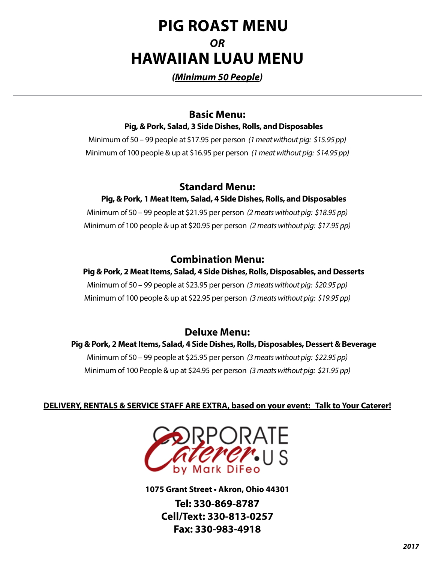# **PIG ROAST MENU**  *OR* **HAWAIIAN LUAU MENU**

## *(Minimum 50 People)*

## **Basic Menu:**

**Pig, & Pork, Salad, 3 Side Dishes, Rolls, and Disposables**

Minimum of 50 – 99 people at \$17.95 per person *(1 meat without pig: \$15.95 pp)* Minimum of 100 people & up at \$16.95 per person *(1 meat without pig: \$14.95 pp)*

## **Standard Menu:**

## **Pig, & Pork, 1 Meat Item, Salad, 4 Side Dishes, Rolls, and Disposables**

Minimum of 50 – 99 people at \$21.95 per person *(2 meats without pig: \$18.95 pp)* Minimum of 100 people & up at \$20.95 per person *(2 meats without pig: \$17.95 pp)*

## **Combination Menu:**

## **Pig & Pork, 2 Meat Items, Salad, 4 Side Dishes, Rolls, Disposables, and Desserts**

Minimum of 50 – 99 people at \$23.95 per person *(3 meats without pig: \$20.95 pp)* Minimum of 100 people & up at \$22.95 per person *(3 meats without pig: \$19.95 pp)*

## **Deluxe Menu:**

## **Pig & Pork, 2 Meat Items, Salad, 4 Side Dishes, Rolls, Disposables, Dessert & Beverage** Minimum of 50 – 99 people at \$25.95 per person *(3 meats without pig: \$22.95 pp)* Minimum of 100 People & up at \$24.95 per person *(3 meats without pig: \$21.95 pp)*

### **DELIVERY, RENTALS & SERVICE STAFF ARE EXTRA, based on your event: Talk to Your Caterer!**



**1075 Grant Street • Akron, Ohio 44301**

**Tel: 330-869-8787 Cell/Text: 330-813-0257 Fax: 330-983-4918**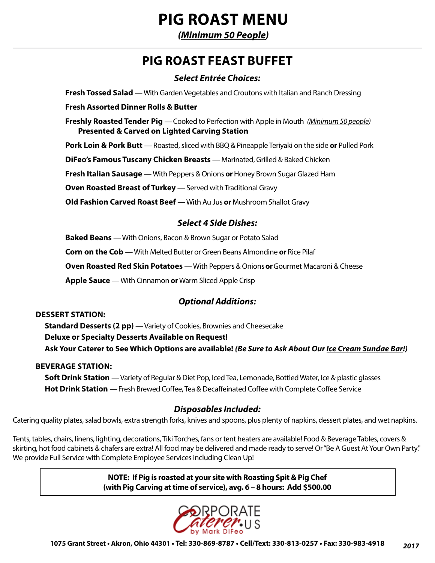# **PIG ROAST MENU**

*(Minimum 50 People)*

## **PIG ROAST FEAST BUFFET**

### *Select Entrée Choices:*

**Fresh Tossed Salad** — With Garden Vegetables and Croutons with Italian and Ranch Dressing

### **Fresh Assorted Dinner Rolls & Butter**

**Freshly Roasted Tender Pig** —Cooked to Perfection with Apple in Mouth *(Minimum 50 people)* **Presented & Carved on Lighted Carving Station**

**Pork Loin & Pork Butt** — Roasted, sliced with BBQ & Pineapple Teriyaki on the side **or** Pulled Pork

**DiFeo's Famous Tuscany Chicken Breasts** — Marinated, Grilled & Baked Chicken

**Fresh Italian Sausage** — With Peppers & Onions **or** Honey Brown Sugar Glazed Ham

**Oven Roasted Breast of Turkey** — Served with Traditional Gravy

**Old Fashion Carved Roast Beef** — With Au Jus **or** Mushroom Shallot Gravy

### *Select 4 Side Dishes:*

**Baked Beans** — With Onions, Bacon & Brown Sugar or Potato Salad

**Corn on the Cob** — With Melted Butter or Green Beans Almondine **or** Rice Pilaf

**Oven Roasted Red Skin Potatoes** — With Peppers & Onions**or**Gourmet Macaroni & Cheese

**Apple Sauce** — With Cinnamon **or** Warm Sliced Apple Crisp

### *Optional Additions:*

### **DESSERT STATION:**

**Standard Desserts (2 pp)** — Variety of Cookies, Brownies and Cheesecake **Deluxe or Specialty Desserts Available on Request! Ask Your Caterer to See Which Options are available!** *(Be Sure to Ask About Our Ice Cream Sundae Bar!)*

### **BEVERAGE STATION:**

**Soft Drink Station** — Variety of Regular & Diet Pop, Iced Tea, Lemonade, Bottled Water, Ice & plastic glasses **Hot Drink Station** — Fresh Brewed Coffee, Tea & Decaffeinated Coffee with Complete Coffee Service

### *Disposables Included:*

Catering quality plates, salad bowls, extra strength forks, knives and spoons, plus plenty of napkins, dessert plates, and wet napkins.

Tents, tables, chairs, linens, lighting, decorations, Tiki Torches, fans or tent heaters are available! Food & Beverage Tables, covers & skirting, hot food cabinets & chafers are extra! All food may be delivered and made ready to serve! Or "Be A Guest At Your Own Party." We provide Full Service with Complete Employee Services including Clean Up!

> **NOTE: If Pig is roasted at your site with Roasting Spit & Pig Chef (with Pig Carving at time of service), avg. 6 – 8 hours: Add \$500.00**